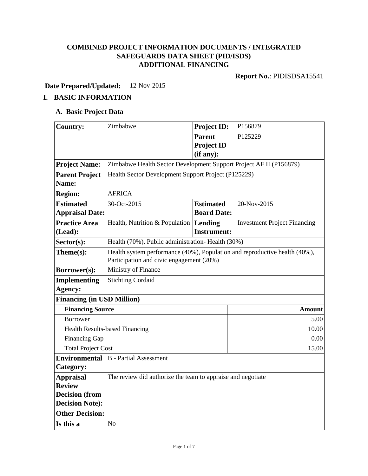# **COMBINED PROJECT INFORMATION DOCUMENTS / INTEGRATED SAFEGUARDS DATA SHEET (PID/ISDS) ADDITIONAL FINANCING**

**Report No.**: PIDISDSA15541

**Date Prepared/Updated:** 12-Nov-2015

# **I. BASIC INFORMATION**

# **A. Basic Project Data**

| <b>Country:</b>                   | Zimbabwe                                                                   | <b>Project ID:</b> | P156879                             |  |  |
|-----------------------------------|----------------------------------------------------------------------------|--------------------|-------------------------------------|--|--|
|                                   |                                                                            | <b>Parent</b>      | P125229                             |  |  |
|                                   |                                                                            | <b>Project ID</b>  |                                     |  |  |
|                                   |                                                                            | (if any):          |                                     |  |  |
| <b>Project Name:</b>              | Zimbabwe Health Sector Development Support Project AF II (P156879)         |                    |                                     |  |  |
| <b>Parent Project</b>             | Health Sector Development Support Project (P125229)                        |                    |                                     |  |  |
| Name:                             |                                                                            |                    |                                     |  |  |
| <b>Region:</b>                    | <b>AFRICA</b>                                                              |                    |                                     |  |  |
| <b>Estimated</b>                  | 30-Oct-2015                                                                | <b>Estimated</b>   | 20-Nov-2015                         |  |  |
| <b>Appraisal Date:</b>            |                                                                            | <b>Board Date:</b> |                                     |  |  |
| <b>Practice Area</b>              | Health, Nutrition & Population   Lending                                   |                    | <b>Investment Project Financing</b> |  |  |
| (Lead):                           |                                                                            | <b>Instrument:</b> |                                     |  |  |
| $Sector(s)$ :                     | Health (70%), Public administration-Health (30%)                           |                    |                                     |  |  |
| Theme(s):                         | Health system performance (40%), Population and reproductive health (40%), |                    |                                     |  |  |
|                                   | Participation and civic engagement (20%)                                   |                    |                                     |  |  |
| Borrower(s):                      | Ministry of Finance                                                        |                    |                                     |  |  |
| <b>Implementing</b>               | <b>Stichting Cordaid</b>                                                   |                    |                                     |  |  |
| Agency:                           |                                                                            |                    |                                     |  |  |
| <b>Financing (in USD Million)</b> |                                                                            |                    |                                     |  |  |
| <b>Financing Source</b>           |                                                                            |                    | <b>Amount</b>                       |  |  |
| <b>Borrower</b>                   |                                                                            |                    | 5.00                                |  |  |
|                                   | <b>Health Results-based Financing</b>                                      |                    | 10.00                               |  |  |
| Financing Gap                     |                                                                            |                    | 0.00                                |  |  |
| <b>Total Project Cost</b>         | 15.00                                                                      |                    |                                     |  |  |
| <b>Environmental</b>              | B - Partial Assessment                                                     |                    |                                     |  |  |
| Category:                         |                                                                            |                    |                                     |  |  |
| <b>Appraisal</b>                  | The review did authorize the team to appraise and negotiate                |                    |                                     |  |  |
| <b>Review</b>                     |                                                                            |                    |                                     |  |  |
| <b>Decision</b> (from             |                                                                            |                    |                                     |  |  |
| <b>Decision Note:</b>             |                                                                            |                    |                                     |  |  |
| <b>Other Decision:</b>            |                                                                            |                    |                                     |  |  |
| Is this a                         | N <sub>o</sub>                                                             |                    |                                     |  |  |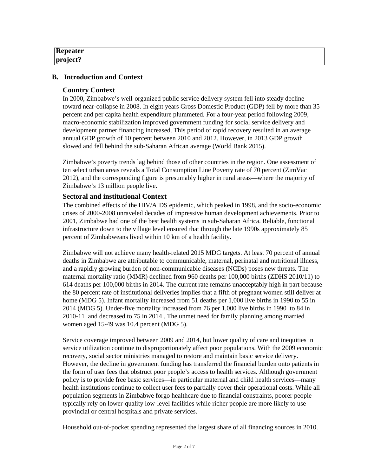| Repeater     |  |  |
|--------------|--|--|
| $ $ project? |  |  |

### **B. Introduction and Context**

#### **Country Context**

In 2000, Zimbabwe's well-organized public service delivery system fell into steady decline toward near-collapse in 2008. In eight years Gross Domestic Product (GDP) fell by more than 35 percent and per capita health expenditure plummeted. For a four-year period following 2009, macro-economic stabilization improved government funding for social service delivery and development partner financing increased. This period of rapid recovery resulted in an average annual GDP growth of 10 percent between 2010 and 2012. However, in 2013 GDP growth slowed and fell behind the sub-Saharan African average (World Bank 2015).

Zimbabwe's poverty trends lag behind those of other countries in the region. One assessment of ten select urban areas reveals a Total Consumption Line Poverty rate of 70 percent (ZimVac 2012), and the corresponding figure is presumably higher in rural areas—where the majority of Zimbabwe's 13 million people live.

### **Sectoral and institutional Context**

The combined effects of the HIV/AIDS epidemic, which peaked in 1998, and the socio-economic crises of 2000-2008 unraveled decades of impressive human development achievements. Prior to 2001, Zimbabwe had one of the best health systems in sub-Saharan Africa. Reliable, functional infrastructure down to the village level ensured that through the late 1990s approximately 85 percent of Zimbabweans lived within 10 km of a health facility.

Zimbabwe will not achieve many health-related 2015 MDG targets. At least 70 percent of annual deaths in Zimbabwe are attributable to communicable, maternal, perinatal and nutritional illness, and a rapidly growing burden of non-communicable diseases (NCDs) poses new threats. The maternal mortality ratio (MMR) declined from 960 deaths per 100,000 births (ZDHS 2010/11) to 614 deaths per 100,000 births in 2014. The current rate remains unacceptably high in part because the 80 percent rate of institutional deliveries implies that a fifth of pregnant women still deliver at home (MDG 5). Infant mortality increased from 51 deaths per 1,000 live births in 1990 to 55 in 2014 (MDG 5). Under-five mortality increased from 76 per 1,000 live births in 1990 to 84 in 2010-11 and decreased to 75 in 2014 . The unmet need for family planning among married women aged 15-49 was 10.4 percent (MDG 5).

Service coverage improved between 2009 and 2014, but lower quality of care and inequities in service utilization continue to disproportionately affect poor populations. With the 2009 economic recovery, social sector ministries managed to restore and maintain basic service delivery. However, the decline in government funding has transferred the financial burden onto patients in the form of user fees that obstruct poor people's access to health services. Although government policy is to provide free basic services—in particular maternal and child health services—many health institutions continue to collect user fees to partially cover their operational costs. While all population segments in Zimbabwe forgo healthcare due to financial constraints, poorer people typically rely on lower-quality low-level facilities while richer people are more likely to use provincial or central hospitals and private services.

Household out-of-pocket spending represented the largest share of all financing sources in 2010.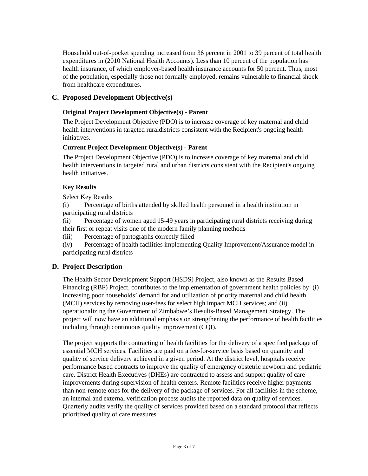Household out-of-pocket spending increased from 36 percent in 2001 to 39 percent of total health expenditures in (2010 National Health Accounts). Less than 10 percent of the population has health insurance, of which employer-based health insurance accounts for 50 percent. Thus, most of the population, especially those not formally employed, remains vulnerable to financial shock from healthcare expenditures.

# **C. Proposed Development Objective(s)**

### **Original Project Development Objective(s) - Parent**

The Project Development Objective (PDO) is to increase coverage of key maternal and child health interventions in targeted ruraldistricts consistent with the Recipient's ongoing health initiatives.

### **Current Project Development Objective(s) - Parent**

The Project Development Objective (PDO) is to increase coverage of key maternal and child health interventions in targeted rural and urban districts consistent with the Recipient's ongoing health initiatives.

### **Key Results**

Select Key Results

(i) Percentage of births attended by skilled health personnel in a health institution in participating rural districts

(ii) Percentage of women aged 15-49 years in participating rural districts receiving during their first or repeat visits one of the modern family planning methods

(iii) Percentage of partographs correctly filled

(iv) Percentage of health facilities implementing Quality Improvement/Assurance model in participating rural districts

### **D. Project Description**

The Health Sector Development Support (HSDS) Project, also known as the Results Based Financing (RBF) Project, contributes to the implementation of government health policies by: (i) increasing poor households' demand for and utilization of priority maternal and child health (MCH) services by removing user-fees for select high impact MCH services; and (ii) operationalizing the Government of Zimbabwe's Results-Based Management Strategy. The project will now have an additional emphasis on strengthening the performance of health facilities including through continuous quality improvement (CQI).

The project supports the contracting of health facilities for the delivery of a specified package of essential MCH services. Facilities are paid on a fee-for-service basis based on quantity and quality of service delivery achieved in a given period. At the district level, hospitals receive performance based contracts to improve the quality of emergency obstetric newborn and pediatric care. District Health Executives (DHEs) are contracted to assess and support quality of care improvements during supervision of health centers. Remote facilities receive higher payments than non-remote ones for the delivery of the package of services. For all facilities in the scheme, an internal and external verification process audits the reported data on quality of services. Quarterly audits verify the quality of services provided based on a standard protocol that reflects prioritized quality of care measures.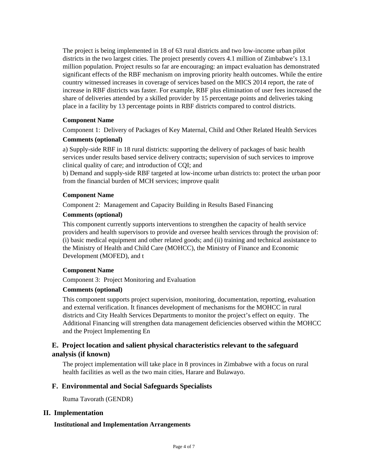The project is being implemented in 18 of 63 rural districts and two low-income urban pilot districts in the two largest cities. The project presently covers 4.1 million of Zimbabwe's 13.1 million population. Project results so far are encouraging: an impact evaluation has demonstrated significant effects of the RBF mechanism on improving priority health outcomes. While the entire country witnessed increases in coverage of services based on the MICS 2014 report, the rate of increase in RBF districts was faster. For example, RBF plus elimination of user fees increased the share of deliveries attended by a skilled provider by 15 percentage points and deliveries taking place in a facility by 13 percentage points in RBF districts compared to control districts.

#### **Component Name**

Component 1: Delivery of Packages of Key Maternal, Child and Other Related Health Services

#### **Comments (optional)**

a) Supply-side RBF in 18 rural districts: supporting the delivery of packages of basic health services under results based service delivery contracts; supervision of such services to improve clinical quality of care; and introduction of CQI; and

b) Demand and supply-side RBF targeted at low-income urban districts to: protect the urban poor from the financial burden of MCH services; improve qualit

#### **Component Name**

Component 2: Management and Capacity Building in Results Based Financing

#### **Comments (optional)**

This component currently supports interventions to strengthen the capacity of health service providers and health supervisors to provide and oversee health services through the provision of: (i) basic medical equipment and other related goods; and (ii) training and technical assistance to the Ministry of Health and Child Care (MOHCC), the Ministry of Finance and Economic Development (MOFED), and t

#### **Component Name**

Component 3: Project Monitoring and Evaluation

### **Comments (optional)**

This component supports project supervision, monitoring, documentation, reporting, evaluation and external verification. It finances development of mechanisms for the MOHCC in rural districts and City Health Services Departments to monitor the project's effect on equity. The Additional Financing will strengthen data management deficiencies observed within the MOHCC and the Project Implementing En

# **E. Project location and salient physical characteristics relevant to the safeguard analysis (if known)**

The project implementation will take place in 8 provinces in Zimbabwe with a focus on rural health facilities as well as the two main cities, Harare and Bulawayo.

### **F. Environmental and Social Safeguards Specialists**

Ruma Tavorath (GENDR)

### **II. Implementation**

#### **Institutional and Implementation Arrangements**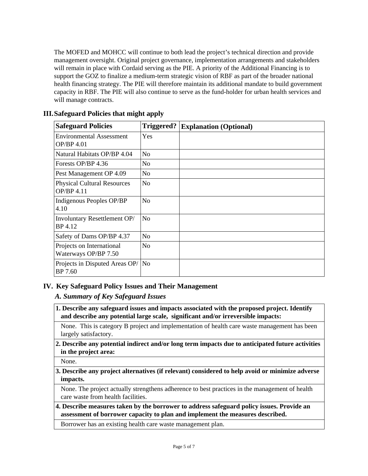The MOFED and MOHCC will continue to both lead the project's technical direction and provide management oversight. Original project governance, implementation arrangements and stakeholders will remain in place with Cordaid serving as the PIE. A priority of the Additional Financing is to support the GOZ to finalize a medium-term strategic vision of RBF as part of the broader national health financing strategy. The PIE will therefore maintain its additional mandate to build government capacity in RBF. The PIE will also continue to serve as the fund-holder for urban health services and will manage contracts.

| <b>Safeguard Policies</b>                         | Triggered?     | <b>Explanation (Optional)</b> |
|---------------------------------------------------|----------------|-------------------------------|
| <b>Environmental Assessment</b><br>OP/BP 4.01     | Yes            |                               |
| Natural Habitats OP/BP 4.04                       | No             |                               |
| Forests OP/BP 4.36                                | No             |                               |
| Pest Management OP 4.09                           | No             |                               |
| <b>Physical Cultural Resources</b><br>OP/BP 4.11  | N <sub>o</sub> |                               |
| Indigenous Peoples OP/BP<br>4.10                  | No             |                               |
| Involuntary Resettlement OP/<br>BP 4.12           | N <sub>o</sub> |                               |
| Safety of Dams OP/BP 4.37                         | No             |                               |
| Projects on International<br>Waterways OP/BP 7.50 | No             |                               |
| Projects in Disputed Areas OP/   No<br>BP 7.60    |                |                               |

# **III.Safeguard Policies that might apply**

### **IV. Key Safeguard Policy Issues and Their Management**

### *A. Summary of Key Safeguard Issues*

**1. Describe any safeguard issues and impacts associated with the proposed project. Identify and describe any potential large scale, significant and/or irreversible impacts:**

None. This is category B project and implementation of health care waste management has been largely satisfactory.

**2. Describe any potential indirect and/or long term impacts due to anticipated future activities in the project area:**

None.

### **3. Describe any project alternatives (if relevant) considered to help avoid or minimize adverse impacts.**

None. The project actually strengthens adherence to best practices in the management of health care waste from health facilities.

**4. Describe measures taken by the borrower to address safeguard policy issues. Provide an assessment of borrower capacity to plan and implement the measures described.**

Borrower has an existing health care waste management plan.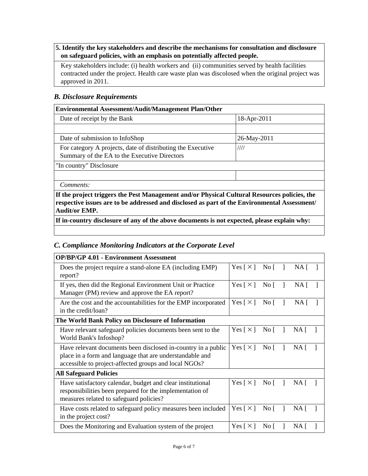# **5. Identify the key stakeholders and describe the mechanisms for consultation and disclosure on safeguard policies, with an emphasis on potentially affected people.**

Key stakeholders include: (i) health workers and (ii) communities served by health facilities contracted under the project. Health care waste plan was discolosed when the original project was approved in 2011.

# *B. Disclosure Requirements*

| <b>Environmental Assessment/Audit/Management Plan/Other</b>                                                                                                                                                          |             |  |
|----------------------------------------------------------------------------------------------------------------------------------------------------------------------------------------------------------------------|-------------|--|
| Date of receipt by the Bank                                                                                                                                                                                          | 18-Apr-2011 |  |
|                                                                                                                                                                                                                      |             |  |
| Date of submission to InfoShop                                                                                                                                                                                       | 26-May-2011 |  |
| For category A projects, date of distributing the Executive<br>Summary of the EA to the Executive Directors                                                                                                          | ////        |  |
| "In country" Disclosure                                                                                                                                                                                              |             |  |
|                                                                                                                                                                                                                      |             |  |
| Comments:                                                                                                                                                                                                            |             |  |
| If the project triggers the Pest Management and/or Physical Cultural Resources policies, the<br>respective issues are to be addressed and disclosed as part of the Environmental Assessment/<br><b>Audit/or EMP.</b> |             |  |

**If in-country disclosure of any of the above documents is not expected, please explain why:**

# *C. Compliance Monitoring Indicators at the Corporate Level*

| <b>OP/BP/GP 4.01 - Environment Assessment</b>                                                                                                                                      |                              |                      |                 |  |
|------------------------------------------------------------------------------------------------------------------------------------------------------------------------------------|------------------------------|----------------------|-----------------|--|
| Does the project require a stand-alone EA (including EMP)<br>report?                                                                                                               | $Yes \, [ \times ]$ No $[ ]$ |                      | NA [            |  |
| If yes, then did the Regional Environment Unit or Practice<br>Manager (PM) review and approve the EA report?                                                                       | Yes $\lceil \times \rceil$   | $\overline{N}$ o [ ] | NA <sub>1</sub> |  |
| Are the cost and the accountabilities for the EMP incorporated<br>in the credit/loan?                                                                                              | Yes $\lceil \times \rceil$   | $\overline{N}$ o     | NA <sub>1</sub> |  |
| The World Bank Policy on Disclosure of Information                                                                                                                                 |                              |                      |                 |  |
| Have relevant safeguard policies documents been sent to the<br>World Bank's Infoshop?                                                                                              | Yes $\lceil \times \rceil$   | $\text{No}$ [ ]      | NA [            |  |
| Have relevant documents been disclosed in-country in a public<br>place in a form and language that are understandable and<br>accessible to project-affected groups and local NGOs? | Yes $\lceil \times \rceil$   | $\overline{N}$ o [ ] | NA [            |  |
| <b>All Safeguard Policies</b>                                                                                                                                                      |                              |                      |                 |  |
| Have satisfactory calendar, budget and clear institutional<br>responsibilities been prepared for the implementation of<br>measures related to safeguard policies?                  | Yes $\lceil \times \rceil$   | $\overline{N}$ o [ ] | $NA \lceil$     |  |
| Have costs related to safeguard policy measures been included<br>in the project cost?                                                                                              | Yes $\lceil \times \rceil$   | No <sub>1</sub>      | NA [            |  |
| Does the Monitoring and Evaluation system of the project                                                                                                                           | Yes $\lceil \times \rceil$   | No $\lceil$          | NA [            |  |